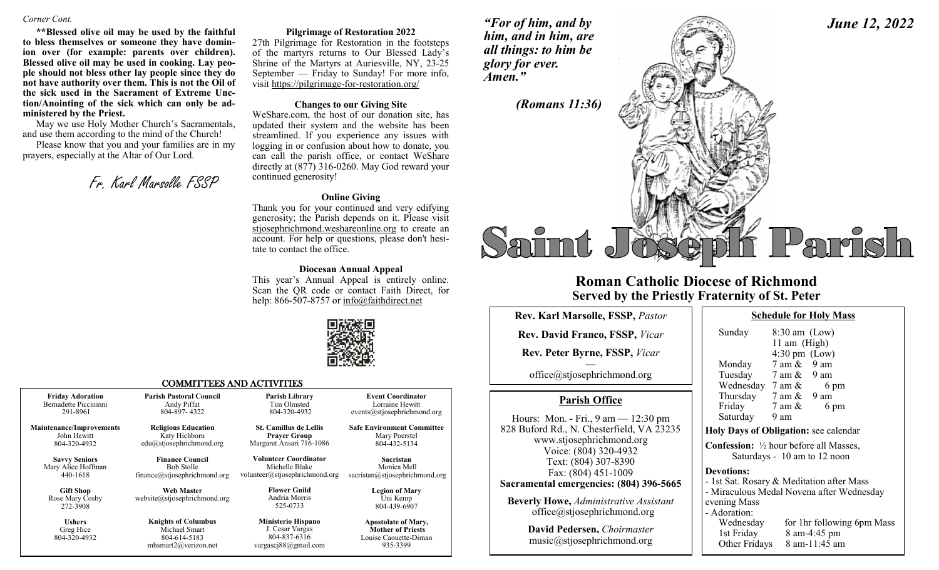### *Corner Cont.*

**\*\*Blessed olive oil may be used by the faithful to bless themselves or someone they have dominion over (for example: parents over children). Blessed olive oil may be used in cooking. Lay people should not bless other lay people since they do not have authority over them. This is not the Oil of the sick used in the Sacrament of Extreme Unction/Anointing of the sick which can only be administered by the Priest.**

May we use Holy Mother Church's Sacramentals, and use them according to the mind of the Church!

Please know that you and your families are in my prayers, especially at the Altar of Our Lord.

Fr. Karl Marsolle FSSP

### **Pilgrimage of Restoration 2022**

27th Pilgrimage for Restoration in the footsteps of the martyrs returns to Our Blessed Lady's Shrine of the Martyrs at Auriesville, NY, 23-25 September — Friday to Sunday! For more info, visit https://pilgrimage-for-restoration.org/

### **Changes to our Giving Site**

WeShare.com, the host of our donation site, has updated their system and the website has been streamlined. If you experience any issues with logging in or confusion about how to donate, you can call the parish office, or contact WeShare directly at (877) 316-0260. May God reward your continued generosity!

### **Online Giving**

Thank you for your continued and very edifying generosity; the Parish depends on it. Please visit stjosephrichmond.weshareonline.org to create an account. For help or questions, please don't hesitate to contact the office.

### **Diocesan Annual Appeal**

This year's Annual Appeal is entirely online. Scan the QR code or contact Faith Direct, for help: 866-507-8757 or info@faithdirect.net



### COMMITTEES AND ACTIVITIES

| <b>Friday Adoration</b>                         | <b>Parish Pastoral Council</b>                                                      | Parish Library                                                                           | <b>Event Coordinator</b>                                                                    |
|-------------------------------------------------|-------------------------------------------------------------------------------------|------------------------------------------------------------------------------------------|---------------------------------------------------------------------------------------------|
| Bernadette Piccininni                           | Andy Piffat                                                                         | Tim Olmsted                                                                              | Lorraine Hewitt                                                                             |
| 291-8961                                        | 804-897-4322                                                                        | 804-320-4932                                                                             | events@stjosephrichmond.org                                                                 |
| <b>Maintenance/Improvements</b>                 | <b>Religious Education</b>                                                          | <b>St. Camillus de Lellis</b>                                                            | <b>Safe Environment Committee</b>                                                           |
| John Hewitt                                     | Katy Hichborn                                                                       | <b>Prayer Group</b>                                                                      | Mary Poerstel                                                                               |
| 804-320-4932                                    | $edu(a)$ stjosephrichmond.org                                                       | Margaret Ansari 716-1086                                                                 | 804-432-5134                                                                                |
| <b>Savvy Seniors</b>                            | <b>Finance Council</b>                                                              | <b>Volunteer Coordinator</b>                                                             | <b>Sacristan</b>                                                                            |
| Mary Alice Hoffman                              | <b>Bob Stolle</b>                                                                   | Michelle Blake                                                                           | Monica Mell                                                                                 |
| 440-1618                                        | finance@stjosephrichmond.org                                                        | volunteer@stjosephrichmond.org                                                           | sacristan@stjosephrichmond.org                                                              |
| <b>Gift Shop</b><br>Rose Mary Cosby<br>272-3908 | <b>Web Master</b><br>website@stjosephrichmond.org                                   | <b>Flower Guild</b><br>Andria Morris<br>525-0733                                         | <b>Legion of Mary</b><br>Uni Kemp<br>804-439-6907                                           |
| <b>Ushers</b><br>Greg Hice<br>804-320-4932      | <b>Knights of Columbus</b><br>Michael Smart<br>804-614-5183<br>mhsmart2@verizon.net | <b>Ministerio Hispano</b><br>J. Cesar Vargas<br>804-837-6316<br>vargasci $88@$ gmail.com | <b>Apostolate of Mary,</b><br><b>Mother of Priests</b><br>Louise Caouette-Diman<br>935-3399 |

*"For of him, and by him, and in him, are all things: to him be glory for ever. Amen."* 

*(Romans 11:36)*

# Parrish

# **Roman Catholic Diocese of Richmond Served by the Priestly Fraternity of St. Peter**

| Rev. Karl Marsolle, FSSP, Pastor                                                                                                                                                                                                                                                                   |                                         |
|----------------------------------------------------------------------------------------------------------------------------------------------------------------------------------------------------------------------------------------------------------------------------------------------------|-----------------------------------------|
| <b>Rev. David Franco, FSSP, Vicar</b>                                                                                                                                                                                                                                                              |                                         |
| Rev. Peter Byrne, FSSP, Vicar                                                                                                                                                                                                                                                                      |                                         |
| office@stjosephrichmond.org                                                                                                                                                                                                                                                                        |                                         |
| <b>Parish Office</b>                                                                                                                                                                                                                                                                               |                                         |
| Hours: Mon. - Fri., $9 \text{ am} - 12:30 \text{ pm}$<br>828 Buford Rd., N. Chesterfield, VA 23235<br>www.stjosephrichmond.org<br>Voice: (804) 320-4932<br>Text: (804) 307-8390<br>Fax: (804) 451-1009<br>Sacramental emergencies: (804) 396-5665<br><b>Beverly Howe, Administrative Assistant</b> | Hol<br>Cor<br>Dev<br>- 1s<br>- M<br>eve |
| office@stjosephrichmond.org                                                                                                                                                                                                                                                                        | - A0                                    |
| David Pedersen, Choirmaster<br>music@stjosephrichmond.org                                                                                                                                                                                                                                          |                                         |

| <b>Schedule for Holy Mass</b> |  |  |
|-------------------------------|--|--|
|                               |  |  |

| Sunday            | $8:30$ am (Low)<br>11 am (High)<br>$4:30 \text{ pm}$ (Low)                               |
|-------------------|------------------------------------------------------------------------------------------|
|                   | Monday 7 am & 9 am                                                                       |
|                   | Tuesday 7 am & 9 am                                                                      |
|                   | Wednesday $7 \text{ am } \& 6 \text{ pm}$                                                |
|                   | Thursday 7 am & 9 am                                                                     |
|                   | Friday 7 am &<br>6 pm                                                                    |
| Saturday 9 am     |                                                                                          |
|                   | Holy Days of Obligation: see calendar                                                    |
|                   | <b>Confession:</b> $\frac{1}{2}$ hour before all Masses,<br>Saturdays - 10 am to 12 noon |
| <b>Devotions:</b> |                                                                                          |
|                   | - 1st Sat. Rosary & Meditation after Mass                                                |
|                   | - Miraculous Medal Novena after Wednesday                                                |
| evening Mass      |                                                                                          |
| - Adoration:      |                                                                                          |
|                   | Wednesday for 1hr following 6pm Mass                                                     |
|                   | 1st Friday 8 am-4:45 pm                                                                  |
|                   | Other Fridays 8 am-11:45 am                                                              |

## *June 12, 2022*